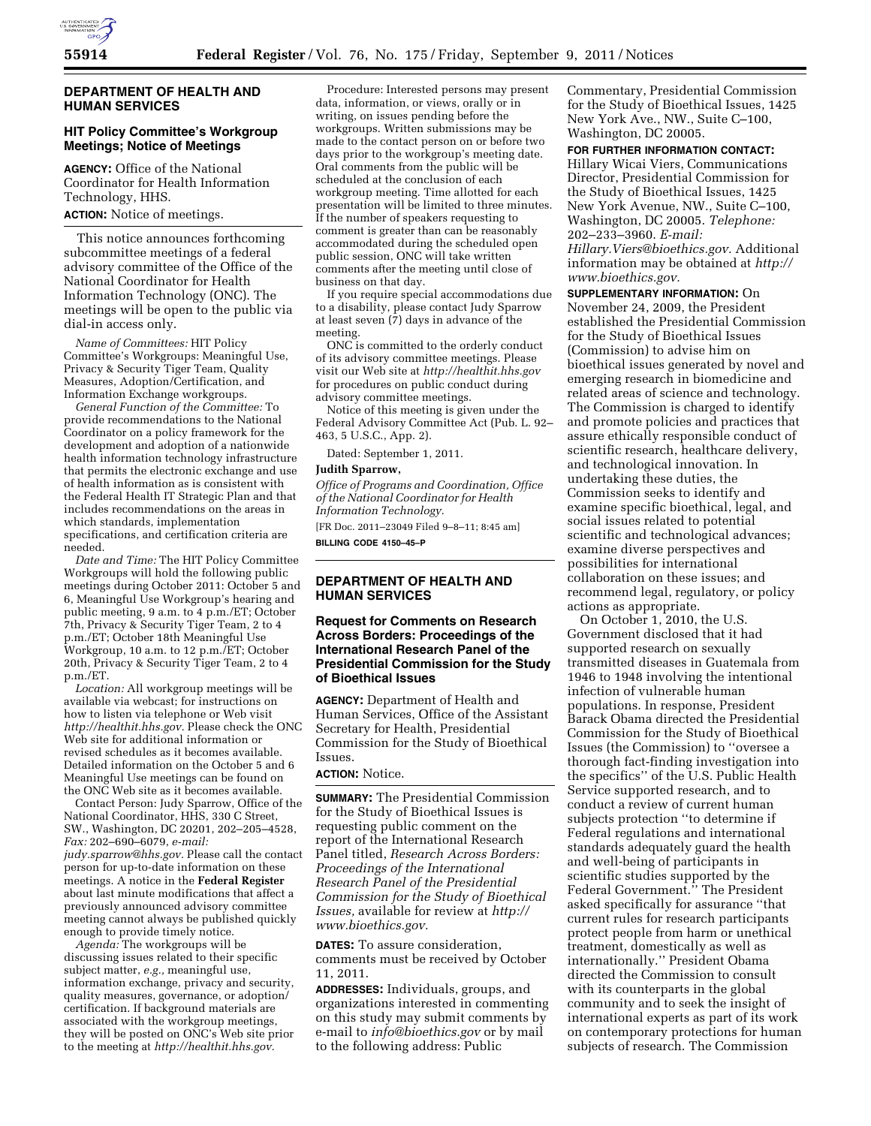

#### **DEPARTMENT OF HEALTH AND HUMAN SERVICES**

## **HIT Policy Committee's Workgroup Meetings; Notice of Meetings**

**AGENCY:** Office of the National Coordinator for Health Information Technology, HHS.

# **ACTION:** Notice of meetings.

This notice announces forthcoming subcommittee meetings of a federal advisory committee of the Office of the National Coordinator for Health Information Technology (ONC). The meetings will be open to the public via dial-in access only.

*Name of Committees:* HIT Policy Committee's Workgroups: Meaningful Use, Privacy & Security Tiger Team, Quality Measures, Adoption/Certification, and Information Exchange workgroups.

*General Function of the Committee:* To provide recommendations to the National Coordinator on a policy framework for the development and adoption of a nationwide health information technology infrastructure that permits the electronic exchange and use of health information as is consistent with the Federal Health IT Strategic Plan and that includes recommendations on the areas in which standards, implementation specifications, and certification criteria are needed.

*Date and Time:* The HIT Policy Committee Workgroups will hold the following public meetings during October 2011: October 5 and 6, Meaningful Use Workgroup's hearing and public meeting, 9 a.m. to 4 p.m./ET; October 7th, Privacy & Security Tiger Team, 2 to 4 p.m./ET; October 18th Meaningful Use Workgroup, 10 a.m. to 12 p.m./ET; October 20th, Privacy & Security Tiger Team, 2 to 4 p.m./ET.

*Location:* All workgroup meetings will be available via webcast; for instructions on how to listen via telephone or Web visit *[http://healthit.hhs.gov.](http://healthit.hhs.gov)* Please check the ONC Web site for additional information or revised schedules as it becomes available. Detailed information on the October 5 and 6 Meaningful Use meetings can be found on the ONC Web site as it becomes available.

Contact Person: Judy Sparrow, Office of the National Coordinator, HHS, 330 C Street, SW., Washington, DC 20201, 202–205–4528, *Fax:* 202–690–6079, *e-mail: [judy.sparrow@hhs.gov.](mailto:judy.sparrow@hhs.gov)* Please call the contact person for up-to-date information on these meetings. A notice in the **Federal Register**  about last minute modifications that affect a previously announced advisory committee meeting cannot always be published quickly enough to provide timely notice.

*Agenda:* The workgroups will be discussing issues related to their specific subject matter, *e.g.,* meaningful use, information exchange, privacy and security, quality measures, governance, or adoption/ certification. If background materials are associated with the workgroup meetings, they will be posted on ONC's Web site prior to the meeting at *[http://healthit.hhs.gov.](http://healthit.hhs.gov)* 

Procedure: Interested persons may present data, information, or views, orally or in writing, on issues pending before the workgroups. Written submissions may be made to the contact person on or before two days prior to the workgroup's meeting date. Oral comments from the public will be scheduled at the conclusion of each workgroup meeting. Time allotted for each presentation will be limited to three minutes. If the number of speakers requesting to comment is greater than can be reasonably accommodated during the scheduled open public session, ONC will take written comments after the meeting until close of business on that day.

If you require special accommodations due to a disability, please contact Judy Sparrow at least seven (7) days in advance of the meeting.

ONC is committed to the orderly conduct of its advisory committee meetings. Please visit our Web site at *<http://healthit.hhs.gov>* for procedures on public conduct during advisory committee meetings.

Notice of this meeting is given under the Federal Advisory Committee Act (Pub. L. 92– 463, 5 U.S.C., App. 2).

Dated: September 1, 2011.

### **Judith Sparrow,**

*Office of Programs and Coordination, Office of the National Coordinator for Health Information Technology.*  [FR Doc. 2011–23049 Filed 9–8–11; 8:45 am]

**BILLING CODE 4150–45–P** 

#### **DEPARTMENT OF HEALTH AND HUMAN SERVICES**

### **Request for Comments on Research Across Borders: Proceedings of the International Research Panel of the Presidential Commission for the Study of Bioethical Issues**

**AGENCY:** Department of Health and Human Services, Office of the Assistant Secretary for Health, Presidential Commission for the Study of Bioethical Issues.

# **ACTION:** Notice.

**SUMMARY:** The Presidential Commission for the Study of Bioethical Issues is requesting public comment on the report of the International Research Panel titled, *Research Across Borders: Proceedings of the International Research Panel of the Presidential Commission for the Study of Bioethical Issues,* available for review at *[http://](http://www.bioethics.gov) [www.bioethics.gov.](http://www.bioethics.gov)* 

**DATES:** To assure consideration, comments must be received by October 11, 2011.

**ADDRESSES:** Individuals, groups, and organizations interested in commenting on this study may submit comments by e-mail to *[info@bioethics.gov](mailto:info@bioethics.gov)* or by mail to the following address: Public

Commentary, Presidential Commission for the Study of Bioethical Issues, 1425 New York Ave., NW., Suite C–100, Washington, DC 20005.

**FOR FURTHER INFORMATION CONTACT:** 

Hillary Wicai Viers, Communications Director, Presidential Commission for the Study of Bioethical Issues, 1425 New York Avenue, NW., Suite C–100, Washington, DC 20005. *Telephone:*  202–233–3960. *E-mail: [Hillary.Viers@bioethics.gov.](mailto:Hillary.Viers@bioethics.gov)* Additional information may be obtained at *[http://](http://www.bioethics.gov) [www.bioethics.gov.](http://www.bioethics.gov)* 

**SUPPLEMENTARY INFORMATION:** On November 24, 2009, the President established the Presidential Commission for the Study of Bioethical Issues (Commission) to advise him on bioethical issues generated by novel and emerging research in biomedicine and related areas of science and technology. The Commission is charged to identify and promote policies and practices that assure ethically responsible conduct of scientific research, healthcare delivery, and technological innovation. In undertaking these duties, the Commission seeks to identify and examine specific bioethical, legal, and social issues related to potential scientific and technological advances; examine diverse perspectives and possibilities for international collaboration on these issues; and recommend legal, regulatory, or policy actions as appropriate.

On October 1, 2010, the U.S. Government disclosed that it had supported research on sexually transmitted diseases in Guatemala from 1946 to 1948 involving the intentional infection of vulnerable human populations. In response, President Barack Obama directed the Presidential Commission for the Study of Bioethical Issues (the Commission) to ''oversee a thorough fact-finding investigation into the specifics'' of the U.S. Public Health Service supported research, and to conduct a review of current human subjects protection ''to determine if Federal regulations and international standards adequately guard the health and well-being of participants in scientific studies supported by the Federal Government.'' The President asked specifically for assurance ''that current rules for research participants protect people from harm or unethical treatment, domestically as well as internationally.'' President Obama directed the Commission to consult with its counterparts in the global community and to seek the insight of international experts as part of its work on contemporary protections for human subjects of research. The Commission